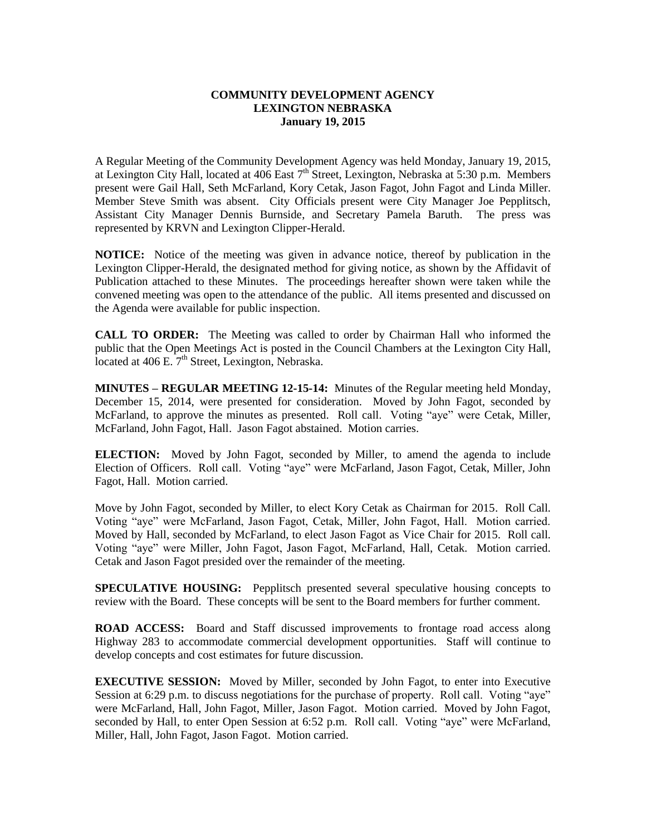## **COMMUNITY DEVELOPMENT AGENCY LEXINGTON NEBRASKA January 19, 2015**

A Regular Meeting of the Community Development Agency was held Monday, January 19, 2015, at Lexington City Hall, located at 406 East  $7<sup>th</sup>$  Street, Lexington, Nebraska at 5:30 p.m. Members present were Gail Hall, Seth McFarland, Kory Cetak, Jason Fagot, John Fagot and Linda Miller. Member Steve Smith was absent. City Officials present were City Manager Joe Pepplitsch, Assistant City Manager Dennis Burnside, and Secretary Pamela Baruth. The press was represented by KRVN and Lexington Clipper-Herald.

**NOTICE:** Notice of the meeting was given in advance notice, thereof by publication in the Lexington Clipper-Herald, the designated method for giving notice, as shown by the Affidavit of Publication attached to these Minutes. The proceedings hereafter shown were taken while the convened meeting was open to the attendance of the public. All items presented and discussed on the Agenda were available for public inspection.

**CALL TO ORDER:** The Meeting was called to order by Chairman Hall who informed the public that the Open Meetings Act is posted in the Council Chambers at the Lexington City Hall, located at  $406$  E.  $7<sup>th</sup>$  Street, Lexington, Nebraska.

**MINUTES – REGULAR MEETING 12-15-14:** Minutes of the Regular meeting held Monday, December 15, 2014, were presented for consideration. Moved by John Fagot, seconded by McFarland, to approve the minutes as presented. Roll call. Voting "aye" were Cetak, Miller, McFarland, John Fagot, Hall. Jason Fagot abstained. Motion carries.

**ELECTION:** Moved by John Fagot, seconded by Miller, to amend the agenda to include Election of Officers. Roll call. Voting "aye" were McFarland, Jason Fagot, Cetak, Miller, John Fagot, Hall. Motion carried.

Move by John Fagot, seconded by Miller, to elect Kory Cetak as Chairman for 2015. Roll Call. Voting "aye" were McFarland, Jason Fagot, Cetak, Miller, John Fagot, Hall. Motion carried. Moved by Hall, seconded by McFarland, to elect Jason Fagot as Vice Chair for 2015. Roll call. Voting "aye" were Miller, John Fagot, Jason Fagot, McFarland, Hall, Cetak. Motion carried. Cetak and Jason Fagot presided over the remainder of the meeting.

**SPECULATIVE HOUSING:** Pepplitsch presented several speculative housing concepts to review with the Board. These concepts will be sent to the Board members for further comment.

**ROAD ACCESS:** Board and Staff discussed improvements to frontage road access along Highway 283 to accommodate commercial development opportunities. Staff will continue to develop concepts and cost estimates for future discussion.

**EXECUTIVE SESSION:** Moved by Miller, seconded by John Fagot, to enter into Executive Session at 6:29 p.m. to discuss negotiations for the purchase of property. Roll call. Voting "aye" were McFarland, Hall, John Fagot, Miller, Jason Fagot. Motion carried. Moved by John Fagot, seconded by Hall, to enter Open Session at 6:52 p.m. Roll call. Voting "aye" were McFarland, Miller, Hall, John Fagot, Jason Fagot. Motion carried.